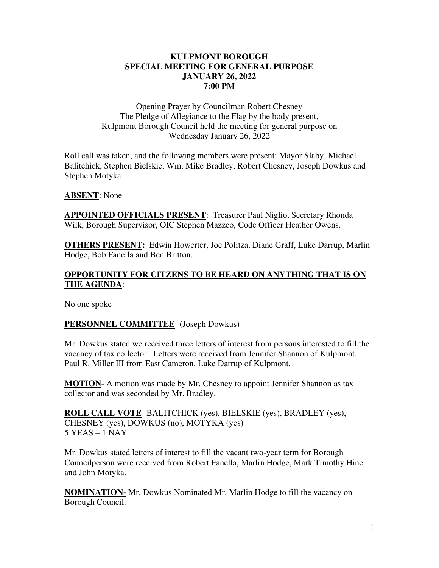#### **KULPMONT BOROUGH SPECIAL MEETING FOR GENERAL PURPOSE JANUARY 26, 2022 7:00 PM**

Opening Prayer by Councilman Robert Chesney The Pledge of Allegiance to the Flag by the body present, Kulpmont Borough Council held the meeting for general purpose on Wednesday January 26, 2022

Roll call was taken, and the following members were present: Mayor Slaby, Michael Balitchick, Stephen Bielskie, Wm. Mike Bradley, Robert Chesney, Joseph Dowkus and Stephen Motyka

#### **ABSENT**: None

**APPOINTED OFFICIALS PRESENT**: Treasurer Paul Niglio, Secretary Rhonda Wilk, Borough Supervisor, OIC Stephen Mazzeo, Code Officer Heather Owens.

**OTHERS PRESENT:** Edwin Howerter, Joe Politza, Diane Graff, Luke Darrup, Marlin Hodge, Bob Fanella and Ben Britton.

## **OPPORTUNITY FOR CITZENS TO BE HEARD ON ANYTHING THAT IS ON THE AGENDA**:

No one spoke

## **PERSONNEL COMMITTEE**- (Joseph Dowkus)

Mr. Dowkus stated we received three letters of interest from persons interested to fill the vacancy of tax collector. Letters were received from Jennifer Shannon of Kulpmont, Paul R. Miller III from East Cameron, Luke Darrup of Kulpmont.

**MOTION-** A motion was made by Mr. Chesney to appoint Jennifer Shannon as tax collector and was seconded by Mr. Bradley.

**ROLL CALL VOTE**- BALITCHICK (yes), BIELSKIE (yes), BRADLEY (yes), CHESNEY (yes), DOWKUS (no), MOTYKA (yes) 5 YEAS – 1 NAY

Mr. Dowkus stated letters of interest to fill the vacant two-year term for Borough Councilperson were received from Robert Fanella, Marlin Hodge, Mark Timothy Hine and John Motyka.

**NOMINATION-** Mr. Dowkus Nominated Mr. Marlin Hodge to fill the vacancy on Borough Council.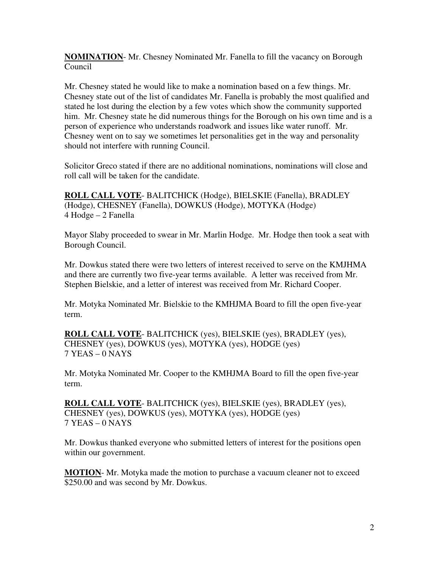**NOMINATION**- Mr. Chesney Nominated Mr. Fanella to fill the vacancy on Borough Council

Mr. Chesney stated he would like to make a nomination based on a few things. Mr. Chesney state out of the list of candidates Mr. Fanella is probably the most qualified and stated he lost during the election by a few votes which show the community supported him. Mr. Chesney state he did numerous things for the Borough on his own time and is a person of experience who understands roadwork and issues like water runoff. Mr. Chesney went on to say we sometimes let personalities get in the way and personality should not interfere with running Council.

Solicitor Greco stated if there are no additional nominations, nominations will close and roll call will be taken for the candidate.

**ROLL CALL VOTE**- BALITCHICK (Hodge), BIELSKIE (Fanella), BRADLEY (Hodge), CHESNEY (Fanella), DOWKUS (Hodge), MOTYKA (Hodge) 4 Hodge – 2 Fanella

Mayor Slaby proceeded to swear in Mr. Marlin Hodge. Mr. Hodge then took a seat with Borough Council.

Mr. Dowkus stated there were two letters of interest received to serve on the KMJHMA and there are currently two five-year terms available. A letter was received from Mr. Stephen Bielskie, and a letter of interest was received from Mr. Richard Cooper.

Mr. Motyka Nominated Mr. Bielskie to the KMHJMA Board to fill the open five-year term.

**ROLL CALL VOTE**- BALITCHICK (yes), BIELSKIE (yes), BRADLEY (yes), CHESNEY (yes), DOWKUS (yes), MOTYKA (yes), HODGE (yes) 7 YEAS – 0 NAYS

Mr. Motyka Nominated Mr. Cooper to the KMHJMA Board to fill the open five-year term.

**ROLL CALL VOTE**- BALITCHICK (yes), BIELSKIE (yes), BRADLEY (yes), CHESNEY (yes), DOWKUS (yes), MOTYKA (yes), HODGE (yes) 7 YEAS – 0 NAYS

Mr. Dowkus thanked everyone who submitted letters of interest for the positions open within our government.

**MOTION**- Mr. Motyka made the motion to purchase a vacuum cleaner not to exceed \$250.00 and was second by Mr. Dowkus.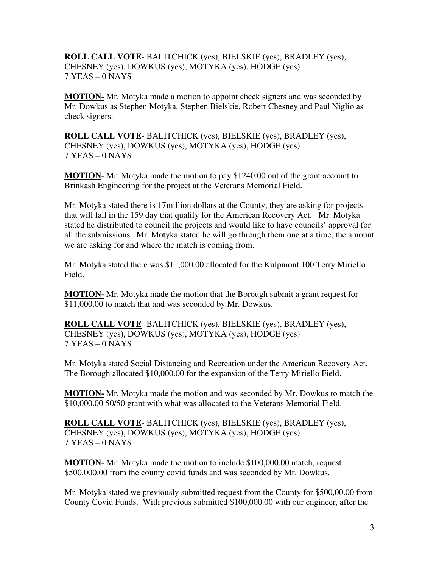## **ROLL CALL VOTE**- BALITCHICK (yes), BIELSKIE (yes), BRADLEY (yes), CHESNEY (yes), DOWKUS (yes), MOTYKA (yes), HODGE (yes) 7 YEAS – 0 NAYS

**MOTION-** Mr. Motyka made a motion to appoint check signers and was seconded by Mr. Dowkus as Stephen Motyka, Stephen Bielskie, Robert Chesney and Paul Niglio as check signers.

**ROLL CALL VOTE**- BALITCHICK (yes), BIELSKIE (yes), BRADLEY (yes), CHESNEY (yes), DOWKUS (yes), MOTYKA (yes), HODGE (yes) 7 YEAS – 0 NAYS

**MOTION**- Mr. Motyka made the motion to pay \$1240.00 out of the grant account to Brinkash Engineering for the project at the Veterans Memorial Field.

Mr. Motyka stated there is 17million dollars at the County, they are asking for projects that will fall in the 159 day that qualify for the American Recovery Act. Mr. Motyka stated he distributed to council the projects and would like to have councils' approval for all the submissions. Mr. Motyka stated he will go through them one at a time, the amount we are asking for and where the match is coming from.

Mr. Motyka stated there was \$11,000.00 allocated for the Kulpmont 100 Terry Miriello Field.

**MOTION-** Mr. Motyka made the motion that the Borough submit a grant request for \$11,000.00 to match that and was seconded by Mr. Dowkus.

**ROLL CALL VOTE**- BALITCHICK (yes), BIELSKIE (yes), BRADLEY (yes), CHESNEY (yes), DOWKUS (yes), MOTYKA (yes), HODGE (yes) 7 YEAS – 0 NAYS

Mr. Motyka stated Social Distancing and Recreation under the American Recovery Act. The Borough allocated \$10,000.00 for the expansion of the Terry Miriello Field.

**MOTION-** Mr. Motyka made the motion and was seconded by Mr. Dowkus to match the \$10,000.00 50/50 grant with what was allocated to the Veterans Memorial Field.

**ROLL CALL VOTE**- BALITCHICK (yes), BIELSKIE (yes), BRADLEY (yes), CHESNEY (yes), DOWKUS (yes), MOTYKA (yes), HODGE (yes) 7 YEAS – 0 NAYS

**MOTION**- Mr. Motyka made the motion to include \$100,000.00 match, request \$500,000.00 from the county covid funds and was seconded by Mr. Dowkus.

Mr. Motyka stated we previously submitted request from the County for \$500,00.00 from County Covid Funds. With previous submitted \$100,000.00 with our engineer, after the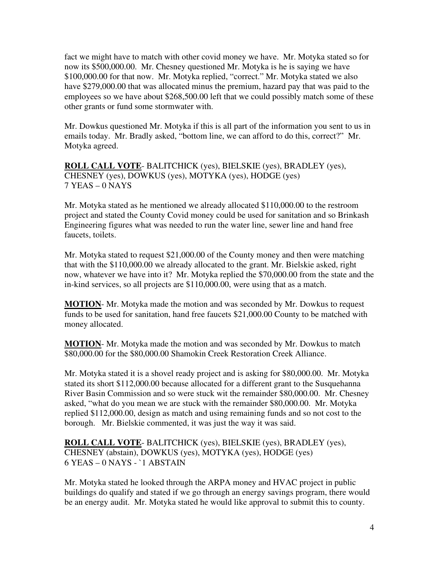fact we might have to match with other covid money we have. Mr. Motyka stated so for now its \$500,000.00. Mr. Chesney questioned Mr. Motyka is he is saying we have \$100,000.00 for that now. Mr. Motyka replied, "correct." Mr. Motyka stated we also have \$279,000.00 that was allocated minus the premium, hazard pay that was paid to the employees so we have about \$268,500.00 left that we could possibly match some of these other grants or fund some stormwater with.

Mr. Dowkus questioned Mr. Motyka if this is all part of the information you sent to us in emails today. Mr. Bradly asked, "bottom line, we can afford to do this, correct?" Mr. Motyka agreed.

**ROLL CALL VOTE**- BALITCHICK (yes), BIELSKIE (yes), BRADLEY (yes), CHESNEY (yes), DOWKUS (yes), MOTYKA (yes), HODGE (yes) 7 YEAS – 0 NAYS

Mr. Motyka stated as he mentioned we already allocated \$110,000.00 to the restroom project and stated the County Covid money could be used for sanitation and so Brinkash Engineering figures what was needed to run the water line, sewer line and hand free faucets, toilets.

Mr. Motyka stated to request \$21,000.00 of the County money and then were matching that with the \$110,000.00 we already allocated to the grant. Mr. Bielskie asked, right now, whatever we have into it? Mr. Motyka replied the \$70,000.00 from the state and the in-kind services, so all projects are \$110,000.00, were using that as a match.

**MOTION**- Mr. Motyka made the motion and was seconded by Mr. Dowkus to request funds to be used for sanitation, hand free faucets \$21,000.00 County to be matched with money allocated.

**MOTION**- Mr. Motyka made the motion and was seconded by Mr. Dowkus to match \$80,000.00 for the \$80,000.00 Shamokin Creek Restoration Creek Alliance.

Mr. Motyka stated it is a shovel ready project and is asking for \$80,000.00. Mr. Motyka stated its short \$112,000.00 because allocated for a different grant to the Susquehanna River Basin Commission and so were stuck wit the remainder \$80,000.00. Mr. Chesney asked, "what do you mean we are stuck with the remainder \$80,000.00. Mr. Motyka replied \$112,000.00, design as match and using remaining funds and so not cost to the borough. Mr. Bielskie commented, it was just the way it was said.

**ROLL CALL VOTE**- BALITCHICK (yes), BIELSKIE (yes), BRADLEY (yes), CHESNEY (abstain), DOWKUS (yes), MOTYKA (yes), HODGE (yes) 6 YEAS – 0 NAYS - `1 ABSTAIN

Mr. Motyka stated he looked through the ARPA money and HVAC project in public buildings do qualify and stated if we go through an energy savings program, there would be an energy audit. Mr. Motyka stated he would like approval to submit this to county.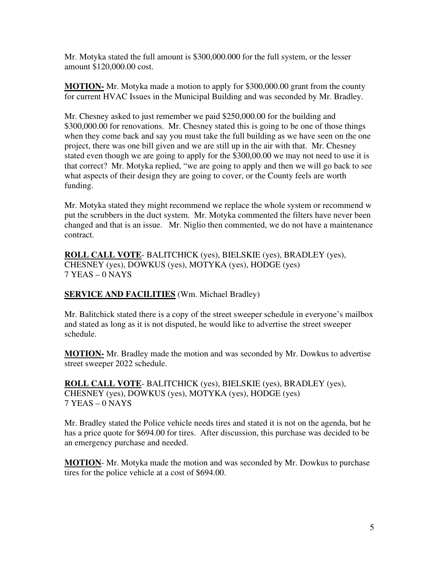Mr. Motyka stated the full amount is \$300,000.000 for the full system, or the lesser amount \$120,000.00 cost.

**MOTION-** Mr. Motyka made a motion to apply for \$300,000.00 grant from the county for current HVAC Issues in the Municipal Building and was seconded by Mr. Bradley.

Mr. Chesney asked to just remember we paid \$250,000.00 for the building and \$300,000.00 for renovations. Mr. Chesney stated this is going to be one of those things when they come back and say you must take the full building as we have seen on the one project, there was one bill given and we are still up in the air with that. Mr. Chesney stated even though we are going to apply for the \$300,00.00 we may not need to use it is that correct? Mr. Motyka replied, "we are going to apply and then we will go back to see what aspects of their design they are going to cover, or the County feels are worth funding.

Mr. Motyka stated they might recommend we replace the whole system or recommend w put the scrubbers in the duct system. Mr. Motyka commented the filters have never been changed and that is an issue. Mr. Niglio then commented, we do not have a maintenance contract.

**ROLL CALL VOTE**- BALITCHICK (yes), BIELSKIE (yes), BRADLEY (yes), CHESNEY (yes), DOWKUS (yes), MOTYKA (yes), HODGE (yes) 7 YEAS – 0 NAYS

## **SERVICE AND FACILITIES** (Wm. Michael Bradley)

Mr. Balitchick stated there is a copy of the street sweeper schedule in everyone's mailbox and stated as long as it is not disputed, he would like to advertise the street sweeper schedule.

**MOTION-** Mr. Bradley made the motion and was seconded by Mr. Dowkus to advertise street sweeper 2022 schedule.

**ROLL CALL VOTE**- BALITCHICK (yes), BIELSKIE (yes), BRADLEY (yes), CHESNEY (yes), DOWKUS (yes), MOTYKA (yes), HODGE (yes) 7 YEAS – 0 NAYS

Mr. Bradley stated the Police vehicle needs tires and stated it is not on the agenda, but he has a price quote for \$694.00 for tires. After discussion, this purchase was decided to be an emergency purchase and needed.

**MOTION**- Mr. Motyka made the motion and was seconded by Mr. Dowkus to purchase tires for the police vehicle at a cost of \$694.00.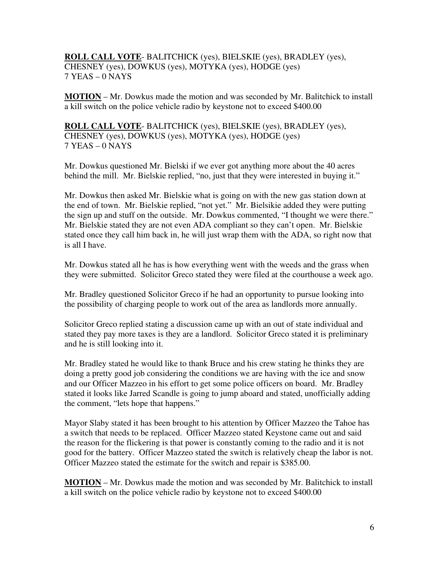## **ROLL CALL VOTE**- BALITCHICK (yes), BIELSKIE (yes), BRADLEY (yes), CHESNEY (yes), DOWKUS (yes), MOTYKA (yes), HODGE (yes) 7 YEAS – 0 NAYS

**MOTION** – Mr. Dowkus made the motion and was seconded by Mr. Balitchick to install a kill switch on the police vehicle radio by keystone not to exceed \$400.00

**ROLL CALL VOTE**- BALITCHICK (yes), BIELSKIE (yes), BRADLEY (yes), CHESNEY (yes), DOWKUS (yes), MOTYKA (yes), HODGE (yes) 7 YEAS – 0 NAYS

Mr. Dowkus questioned Mr. Bielski if we ever got anything more about the 40 acres behind the mill. Mr. Bielskie replied, "no, just that they were interested in buying it."

Mr. Dowkus then asked Mr. Bielskie what is going on with the new gas station down at the end of town. Mr. Bielskie replied, "not yet." Mr. Bielsikie added they were putting the sign up and stuff on the outside. Mr. Dowkus commented, "I thought we were there." Mr. Bielskie stated they are not even ADA compliant so they can't open. Mr. Bielskie stated once they call him back in, he will just wrap them with the ADA, so right now that is all I have.

Mr. Dowkus stated all he has is how everything went with the weeds and the grass when they were submitted. Solicitor Greco stated they were filed at the courthouse a week ago.

Mr. Bradley questioned Solicitor Greco if he had an opportunity to pursue looking into the possibility of charging people to work out of the area as landlords more annually.

Solicitor Greco replied stating a discussion came up with an out of state individual and stated they pay more taxes is they are a landlord. Solicitor Greco stated it is preliminary and he is still looking into it.

Mr. Bradley stated he would like to thank Bruce and his crew stating he thinks they are doing a pretty good job considering the conditions we are having with the ice and snow and our Officer Mazzeo in his effort to get some police officers on board. Mr. Bradley stated it looks like Jarred Scandle is going to jump aboard and stated, unofficially adding the comment, "lets hope that happens."

Mayor Slaby stated it has been brought to his attention by Officer Mazzeo the Tahoe has a switch that needs to be replaced. Officer Mazzeo stated Keystone came out and said the reason for the flickering is that power is constantly coming to the radio and it is not good for the battery. Officer Mazzeo stated the switch is relatively cheap the labor is not. Officer Mazzeo stated the estimate for the switch and repair is \$385.00.

**MOTION** – Mr. Dowkus made the motion and was seconded by Mr. Balitchick to install a kill switch on the police vehicle radio by keystone not to exceed \$400.00